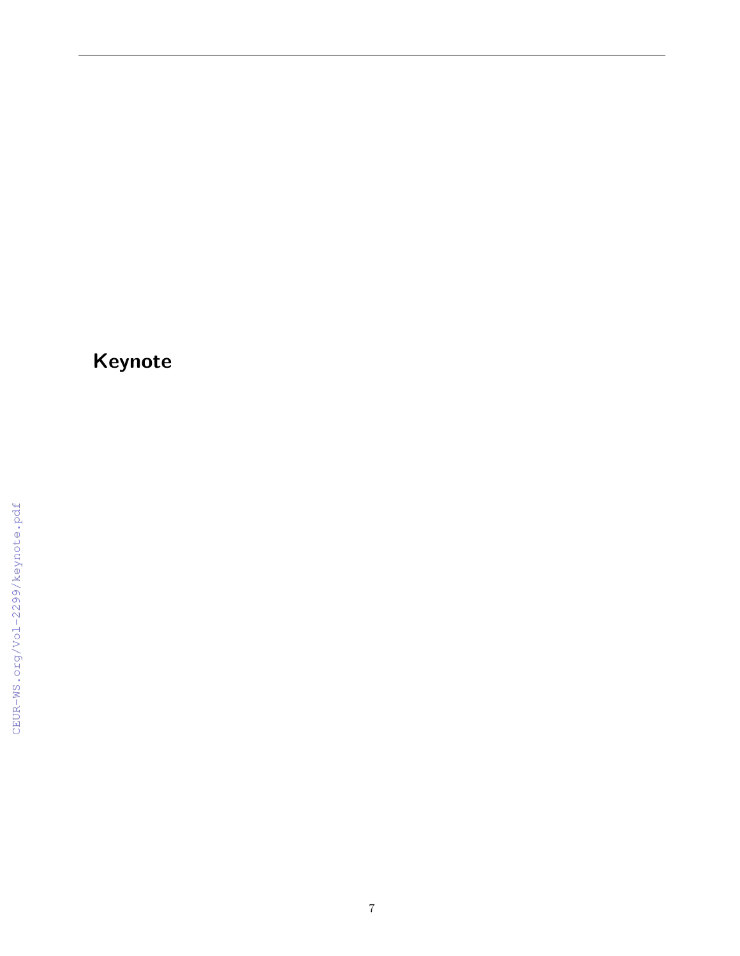# Keynote